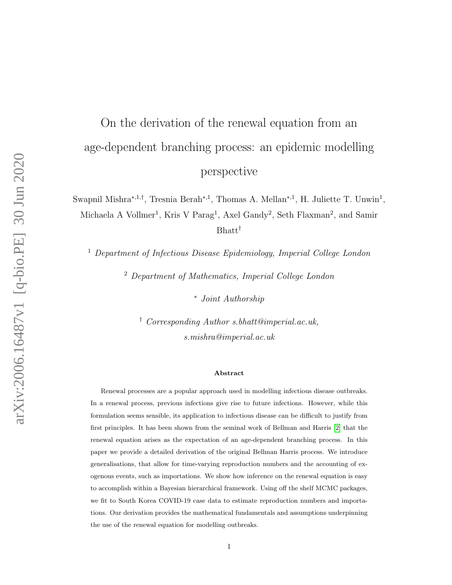# On the derivation of the renewal equation from an age-dependent branching process: an epidemic modelling perspective

Swapnil Mishra<sup>\*,1,†</sup>, Tresnia Berah<sup>\*,1</sup>, Thomas A. Mellan<sup>\*,1</sup>, H. Juliette T. Unwin<sup>1</sup>, Michaela A Vollmer<sup>1</sup>, Kris V Parag<sup>1</sup>, Axel Gandy<sup>2</sup>, Seth Flaxman<sup>2</sup>, and Samir Bhatt†

<sup>1</sup> Department of Infectious Disease Epidemiology, Imperial College London

<sup>2</sup> Department of Mathematics, Imperial College London

<sup>∗</sup> Joint Authorship

† Corresponding Author s.bhatt@imperial.ac.uk, s.mishra@imperial.ac.uk

#### Abstract

Renewal processes are a popular approach used in modelling infectious disease outbreaks. In a renewal process, previous infections give rise to future infections. However, while this formulation seems sensible, its application to infectious disease can be difficult to justify from first principles. It has been shown from the seminal work of Bellman and Harris [\[2\]](#page-16-0) that the renewal equation arises as the expectation of an age-dependent branching process. In this paper we provide a detailed derivation of the original Bellman Harris process. We introduce generalisations, that allow for time-varying reproduction numbers and the accounting of exogenous events, such as importations. We show how inference on the renewal equation is easy to accomplish within a Bayesian hierarchical framework. Using off the shelf MCMC packages, we fit to South Korea COVID-19 case data to estimate reproduction numbers and importations. Our derivation provides the mathematical fundamentals and assumptions underpinning the use of the renewal equation for modelling outbreaks.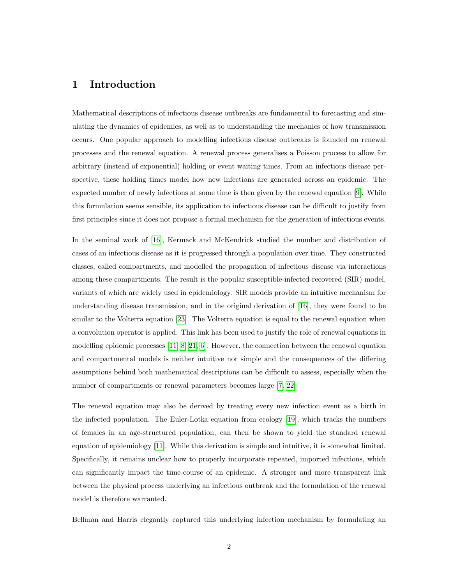#### 1 Introduction

Mathematical descriptions of infectious disease outbreaks are fundamental to forecasting and simulating the dynamics of epidemics, as well as to understanding the mechanics of how transmission occurs. One popular approach to modelling infectious disease outbreaks is founded on renewal processes and the renewal equation. A renewal process generalises a Poisson process to allow for arbitrary (instead of exponential) holding or event waiting times. From an infectious disease perspective, these holding times model how new infections are generated across an epidemic. The expected number of newly infections at some time is then given by the renewal equation [\[9\]](#page-17-0). While this formulation seems sensible, its application to infectious disease can be difficult to justify from first principles since it does not propose a formal mechanism for the generation of infectious events.

In the seminal work of [\[16\]](#page-17-1), Kermack and McKendrick studied the number and distribution of cases of an infectious disease as it is progressed through a population over time. They constructed classes, called compartments, and modelled the propagation of infectious disease via interactions among these compartments. The result is the popular susceptible-infected-recovered (SIR) model, variants of which are widely used in epidemiology. SIR models provide an intuitive mechanism for understanding disease transmission, and in the original derivation of [\[16\]](#page-17-1), they were found to be similar to the Volterra equation [\[23\]](#page-18-0). The Volterra equation is equal to the renewal equation when a convolution operator is applied. This link has been used to justify the role of renewal equations in modelling epidemic processes [\[11,](#page-17-2) [8,](#page-16-1) [21,](#page-17-3) [6\]](#page-16-2). However, the connection between the renewal equation and compartmental models is neither intuitive nor simple and the consequences of the differing assumptions behind both mathematical descriptions can be difficult to assess, especially when the number of compartments or renewal parameters becomes large [\[7,](#page-16-3) [22\]](#page-18-1).

The renewal equation may also be derived by treating every new infection event as a birth in the infected population. The Euler-Lotka equation from ecology [\[19\]](#page-17-4), which tracks the numbers of females in an age-structured population, can then be shown to yield the standard renewal equation of epidemiology [\[11\]](#page-17-2). While this derivation is simple and intuitive, it is somewhat limited. Specifically, it remains unclear how to properly incorporate repeated, imported infections, which can significantly impact the time-course of an epidemic. A stronger and more transparent link between the physical process underlying an infectious outbreak and the formulation of the renewal model is therefore warranted.

Bellman and Harris elegantly captured this underlying infection mechanism by formulating an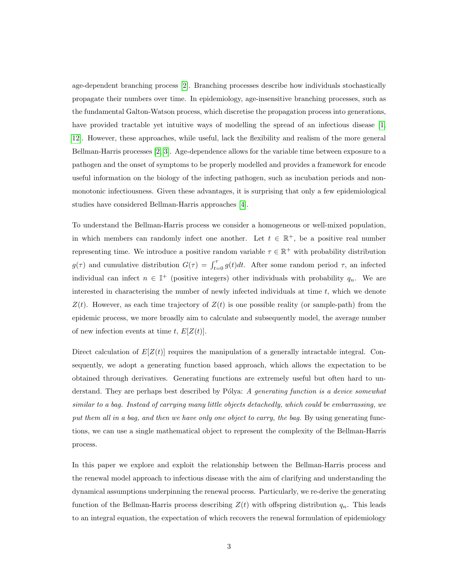age-dependent branching process [\[2\]](#page-16-0). Branching processes describe how individuals stochastically propagate their numbers over time. In epidemiology, age-insensitive branching processes, such as the fundamental Galton-Watson process, which discretise the propagation process into generations, have provided tractable yet intuitive ways of modelling the spread of an infectious disease [\[1,](#page-16-4) [12\]](#page-17-5). However, these approaches, while useful, lack the flexibility and realism of the more general Bellman-Harris processes [\[2,](#page-16-0) [3\]](#page-16-5). Age-dependence allows for the variable time between exposure to a pathogen and the onset of symptoms to be properly modelled and provides a framework for encode useful information on the biology of the infecting pathogen, such as incubation periods and nonmonotonic infectiousness. Given these advantages, it is surprising that only a few epidemiological studies have considered Bellman-Harris approaches [\[4\]](#page-16-6).

To understand the Bellman-Harris process we consider a homogeneous or well-mixed population, in which members can randomly infect one another. Let  $t \in \mathbb{R}^+$ , be a positive real number representing time. We introduce a positive random variable  $\tau \in \mathbb{R}^+$  with probability distribution  $g(\tau)$  and cumulative distribution  $G(\tau) = \int_{t=0}^{\tau} g(t)dt$ . After some random period  $\tau$ , an infected individual can infect  $n \in \mathbb{I}^+$  (positive integers) other individuals with probability  $q_n$ . We are interested in characterising the number of newly infected individuals at time  $t$ , which we denote  $Z(t)$ . However, as each time trajectory of  $Z(t)$  is one possible reality (or sample-path) from the epidemic process, we more broadly aim to calculate and subsequently model, the average number of new infection events at time t,  $E[Z(t)]$ .

Direct calculation of  $E[Z(t)]$  requires the manipulation of a generally intractable integral. Consequently, we adopt a generating function based approach, which allows the expectation to be obtained through derivatives. Generating functions are extremely useful but often hard to understand. They are perhaps best described by Pólya: A generating function is a device somewhat similar to a bag. Instead of carrying many little objects detachedly, which could be embarrassing, we put them all in a bag, and then we have only one object to carry, the bag. By using generating functions, we can use a single mathematical object to represent the complexity of the Bellman-Harris process.

In this paper we explore and exploit the relationship between the Bellman-Harris process and the renewal model approach to infectious disease with the aim of clarifying and understanding the dynamical assumptions underpinning the renewal process. Particularly, we re-derive the generating function of the Bellman-Harris process describing  $Z(t)$  with offspring distribution  $q_n$ . This leads to an integral equation, the expectation of which recovers the renewal formulation of epidemiology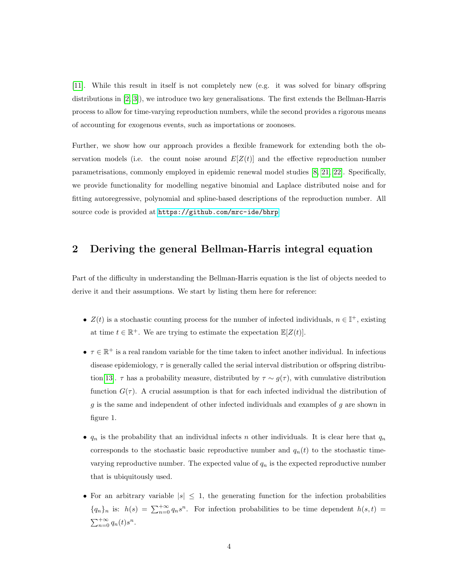[\[11\]](#page-17-2). While this result in itself is not completely new (e.g. it was solved for binary offspring distributions in [\[2,](#page-16-0) [3\]](#page-16-5)), we introduce two key generalisations. The first extends the Bellman-Harris process to allow for time-varying reproduction numbers, while the second provides a rigorous means of accounting for exogenous events, such as importations or zoonoses.

Further, we show how our approach provides a flexible framework for extending both the observation models (i.e. the count noise around  $E[Z(t)]$  and the effective reproduction number parametrisations, commonly employed in epidemic renewal model studies [\[8,](#page-16-1) [21,](#page-17-3) [22\]](#page-18-1). Specifically, we provide functionality for modelling negative binomial and Laplace distributed noise and for fitting autoregressive, polynomial and spline-based descriptions of the reproduction number. All source code is provided at <https://github.com/mrc-ide/bhrp>

#### 2 Deriving the general Bellman-Harris integral equation

Part of the difficulty in understanding the Bellman-Harris equation is the list of objects needed to derive it and their assumptions. We start by listing them here for reference:

- $Z(t)$  is a stochastic counting process for the number of infected individuals,  $n \in \mathbb{I}^+$ , existing at time  $t \in \mathbb{R}^+$ . We are trying to estimate the expectation  $\mathbb{E}[Z(t)]$ .
- $\tau \in \mathbb{R}^+$  is a real random variable for the time taken to infect another individual. In infectious disease epidemiology,  $\tau$  is generally called the serial interval distribution or offspring distribu-tion[\[13\]](#page-17-6).  $\tau$  has a probability measure, distributed by  $\tau \sim g(\tau)$ , with cumulative distribution function  $G(\tau)$ . A crucial assumption is that for each infected individual the distribution of  $g$  is the same and independent of other infected individuals and examples of  $g$  are shown in figure 1.
- $q_n$  is the probability that an individual infects n other individuals. It is clear here that  $q_n$ corresponds to the stochastic basic reproductive number and  $q_n(t)$  to the stochastic timevarying reproductive number. The expected value of  $q_n$  is the expected reproductive number that is ubiquitously used.
- For an arbitrary variable  $|s| \leq 1$ , the generating function for the infection probabilities  ${q_n}_n$  is:  $h(s) = \sum_{n=0}^{+\infty} q_n s^n$ . For infection probabilities to be time dependent  $h(s,t)$  $\sum_{n=0}^{+\infty} q_n(t) s^n$ .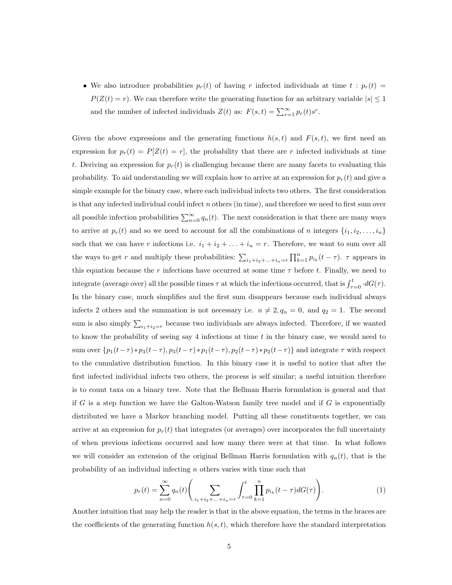• We also introduce probabilities  $p_r(t)$  of having r infected individuals at time  $t : p_r(t) =$  $P(Z(t) = r)$ . We can therefore write the generating function for an arbitrary variable  $|s| \leq 1$ and the number of infected individuals  $Z(t)$  as:  $F(s,t) = \sum_{r=1}^{\infty} p_r(t)s^r$ .

Given the above expressions and the generating functions  $h(s, t)$  and  $F(s, t)$ , we first need an expression for  $p_r(t) = P[Z(t) = r]$ , the probability that there are r infected individuals at time t. Deriving an expression for  $p_r(t)$  is challenging because there are many facets to evaluating this probability. To aid understanding we will explain how to arrive at an expression for  $p_r(t)$  and give a simple example for the binary case, where each individual infects two others. The first consideration is that any infected individual could infect  $n$  others (in time), and therefore we need to first sum over all possible infection probabilities  $\sum_{n=0}^{\infty} q_n(t)$ . The next consideration is that there are many ways to arrive at  $p_r(t)$  and so we need to account for all the combinations of n integers  $\{i_1, i_2, \ldots, i_n\}$ such that we can have r infections i.e.  $i_1 + i_2 + \ldots + i_n = r$ . Therefore, we want to sum over all the ways to get r and multiply these probabilities:  $\sum_{i_1+i_2+\ldots+i_n=r} \prod_{k=1}^n p_{i_k}(t-\tau)$ .  $\tau$  appears in this equation because the r infections have occurred at some time  $\tau$  before t. Finally, we need to integrate (average over) all the possible times  $\tau$  at which the infections occurred, that is  $\int_{\tau=0}^{t} dG(\tau)$ . In the binary case, much simplifies and the first sum disappears because each individual always infects 2 others and the summation is not necessary i.e.  $n \neq 2, q_n = 0$ , and  $q_2 = 1$ . The second sum is also simply  $\sum_{i_1+i_2=r}$  because two individuals are always infected. Therefore, if we wanted to know the probability of seeing say 4 infections at time  $t$  in the binary case, we would need to sum over  $\{p_1(t-\tau) * p_3(t-\tau), p_3(t-\tau) * p_1(t-\tau), p_2(t-\tau) * p_2(t-\tau)\}$  and integrate  $\tau$  with respect to the cumulative distribution function. In this binary case it is useful to notice that after the first infected individual infects two others, the process is self similar; a useful intuition therefore is to count taxa on a binary tree. Note that the Bellman Harris formulation is general and that if G is a step function we have the Galton-Watson family tree model and if G is exponentially distributed we have a Markov branching model. Putting all these constituents together, we can arrive at an expression for  $p_r(t)$  that integrates (or averages) over incorporates the full uncertainty of when previous infections occurred and how many there were at that time. In what follows we will consider an extension of the original Bellman Harris formulation with  $q_n(t)$ , that is the probability of an individual infecting n others varies with time such that

$$
p_r(t) = \sum_{n=0}^{\infty} q_n(t) \left( \sum_{i_1 + i_2 + \dots + i_n = r} \int_{\tau=0}^t \prod_{k=1}^n p_{i_k}(t-\tau) dG(\tau) \right).
$$
 (1)

Another intuition that may help the reader is that in the above equation, the terms in the braces are the coefficients of the generating function  $h(s, t)$ , which therefore have the standard interpretation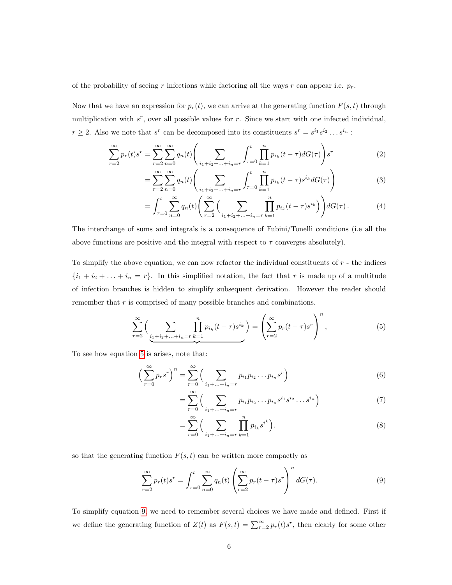of the probability of seeing r infections while factoring all the ways r can appear i.e.  $p_r$ .

Now that we have an expression for  $p_r(t)$ , we can arrive at the generating function  $F(s, t)$  through multiplication with  $s^r$ , over all possible values for r. Since we start with one infected individual,  $r \geq 2$ . Also we note that s<sup>r</sup> can be decomposed into its constituents  $s^r = s^{i_1} s^{i_2} \dots s^{i_n}$ :

$$
\sum_{r=2}^{\infty} p_r(t) s^r = \sum_{r=2}^{\infty} \sum_{n=0}^{\infty} q_n(t) \left( \sum_{i_1+i_2+\ldots+i_n=r} \int_{\tau=0}^t \prod_{k=1}^n p_{i_k}(t-\tau) dG(\tau) \right) s^r
$$
\n(2)

$$
= \sum_{r=2}^{\infty} \sum_{n=0}^{\infty} q_n(t) \left( \sum_{i_1+i_2+\ldots+i_n=r} \int_{\tau=0}^t \prod_{k=1}^n p_{i_k}(t-\tau) s^{i_k} dG(\tau) \right) \tag{3}
$$

$$
= \int_{\tau=0}^{t} \sum_{n=0}^{\infty} q_n(t) \left( \sum_{r=2}^{\infty} \Big( \sum_{i_1+i_2+\ldots+i_n=r} \prod_{k=1}^n p_{i_k}(t-\tau) s^{i_k} \Big) \right) dG(\tau).
$$
 (4)

The interchange of sums and integrals is a consequence of Fubini/Tonelli conditions (i.e all the above functions are positive and the integral with respect to  $\tau$  converges absolutely).

To simplify the above equation, we can now refactor the individual constituents of  $r$  - the indices  ${i_1 + i_2 + \ldots + i_n = r}$ . In this simplified notation, the fact that r is made up of a multitude of infection branches is hidden to simplify subsequent derivation. However the reader should remember that  $r$  is comprised of many possible branches and combinations.

<span id="page-5-0"></span>
$$
\sum_{r=2}^{\infty} \left( \sum_{\substack{i_1+i_2+\ldots+i_n=r}} \prod_{k=1}^n p_{i_k}(t-\tau)s^{i_k} \right) = \left( \sum_{r=2}^{\infty} p_r(t-\tau)s^r \right)^n, \tag{5}
$$

To see how equation [5](#page-5-0) is arises, note that:

$$
\left(\sum_{r=0}^{\infty} p_r s^r\right)^n = \sum_{r=0}^{\infty} \left(\sum_{i_1 + \dots + i_n = r} p_{i_1} p_{i_2} \dots p_{i_n} s^r\right)
$$
(6)

$$
= \sum_{r=0}^{\infty} \left( \sum_{i_1 + ... + i_n = r} p_{i_1} p_{i_2} ... p_{i_n} s^{i_1} s^{i_2} ... s^{i_n} \right) \tag{7}
$$

$$
= \sum_{r=0}^{\infty} \Big( \sum_{i_1 + \dots + i_n = r} \prod_{k=1}^n p_{i_k} s^{i^k} \Big). \tag{8}
$$

so that the generating function  $F(s, t)$  can be written more compactly as

<span id="page-5-1"></span>
$$
\sum_{r=2}^{\infty} p_r(t) s^r = \int_{\tau=0}^t \sum_{n=0}^{\infty} q_n(t) \left( \sum_{r=2}^{\infty} p_r(t-\tau) s^r \right)^n dG(\tau).
$$
 (9)

To simplify equation [9,](#page-5-1) we need to remember several choices we have made and defined. First if we define the generating function of  $Z(t)$  as  $F(s,t) = \sum_{r=2}^{\infty} p_r(t) s^r$ , then clearly for some other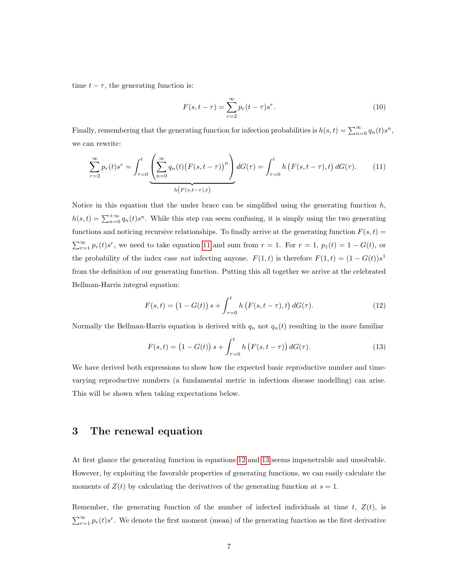time  $t - \tau$ , the generating function is:

$$
F(s, t - \tau) = \sum_{r=2}^{\infty} p_r(t - \tau)s^r.
$$
 (10)

Finally, remembering that the generating function for infection probabilities is  $h(s,t) = \sum_{n=0}^{\infty} q_n(t) s^n$ , we can rewrite:

<span id="page-6-0"></span>
$$
\sum_{r=2}^{\infty} p_r(t) s^r = \int_{\tau=0}^t \underbrace{\left(\sum_{n=0}^{\infty} q_n(t) \big(F(s, t-\tau)\big)^n\right)}_{h\left(F(s, t-\tau), t\right)} dG(\tau) = \int_{\tau=0}^t h\left(F(s, t-\tau), t\right) dG(\tau). \tag{11}
$$

Notice in this equation that the under brace can be simplified using the generating function  $h$ ,  $h(s,t) = \sum_{n=0}^{+\infty} q_n(t) s^n$ . While this step can seem confusing, it is simply using the two generating functions and noticing recursive relationships. To finally arrive at the generating function  $F(s, t)$  =  $\sum_{r=1}^{\infty} p_r(t) s^r$ , we need to take equation [11](#page-6-0) and sum from  $r = 1$ . For  $r = 1$ ,  $p_1(t) = 1 - G(t)$ , or the probability of the index case *not* infecting anyone.  $F(1,t)$  is therefore  $F(1,t) = (1 - G(t))s<sup>1</sup>$ from the definition of our generating function. Putting this all together we arrive at the celebrated Bellman-Harris integral equation:

<span id="page-6-1"></span>
$$
F(s,t) = (1 - G(t)) s + \int_{\tau=0}^{t} h(F(s, t-\tau), t) dG(\tau).
$$
 (12)

Normally the Bellman-Harris equation is derived with  $q_n$  not  $q_n(t)$  resulting in the more familiar

<span id="page-6-2"></span>
$$
F(s,t) = (1 - G(t)) s + \int_{\tau=0}^{t} h(F(s, t - \tau)) dG(\tau).
$$
 (13)

We have derived both expressions to show how the expected basic reproductive number and timevarying reproductive numbers (a fundamental metric in infectious disease modelling) can arise. This will be shown when taking expectations below.

#### 3 The renewal equation

At first glance the generating function in equations [12](#page-6-1) and [13](#page-6-2) seems impenetrable and unsolvable. However, by exploiting the favorable properties of generating functions, we can easily calculate the moments of  $Z(t)$  by calculating the derivatives of the generating function at  $s = 1$ .

Remember, the generating function of the number of infected individuals at time  $t$ ,  $Z(t)$ , is  $\sum_{r=1}^{\infty} p_r(t) s^r$ . We denote the first moment (mean) of the generating function as the first derivative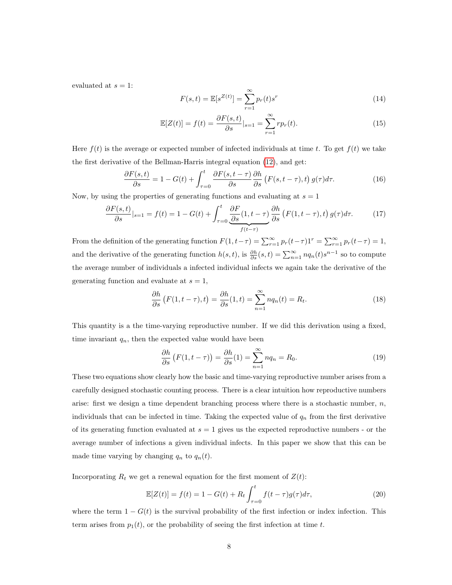evaluated at  $s = 1$ :

$$
F(s,t) = \mathbb{E}[s^{Z(t)}] = \sum_{r=1}^{\infty} p_r(t)s^r
$$
 (14)

$$
\mathbb{E}[Z(t)] = f(t) = \frac{\partial F(s,t)}{\partial s}|_{s=1} = \sum_{r=1}^{\infty} r p_r(t).
$$
\n(15)

Here  $f(t)$  is the average or expected number of infected individuals at time t. To get  $f(t)$  we take the first derivative of the Bellman-Harris integral equation [\(12\)](#page-6-1), and get:

$$
\frac{\partial F(s,t)}{\partial s} = 1 - G(t) + \int_{\tau=0}^{t} \frac{\partial F(s,t-\tau)}{\partial s} \frac{\partial h}{\partial s} \left( F(s,t-\tau),t \right) g(\tau) d\tau.
$$
 (16)

Now, by using the properties of generating functions and evaluating at  $s = 1$ 

$$
\frac{\partial F(s,t)}{\partial s}|_{s=1} = f(t) = 1 - G(t) + \int_{\tau=0}^{t} \underbrace{\frac{\partial F}{\partial s}(1,t-\tau)}_{f(t-\tau)} \frac{\partial h}{\partial s} \left( F(1,t-\tau),t \right) g(\tau) d\tau. \tag{17}
$$

From the definition of the generating function  $F(1, t-\tau) = \sum_{r=1}^{\infty} p_r(t-\tau)1^r = \sum_{r=1}^{\infty} p_r(t-\tau) = 1$ , and the derivative of the generating function  $h(s,t)$ , is  $\frac{\partial h}{\partial s}(s,t) = \sum_{n=1}^{\infty} n q_n(t) s^{n-1}$  so to compute the average number of individuals a infected individual infects we again take the derivative of the generating function and evaluate at  $s = 1$ ,

$$
\frac{\partial h}{\partial s}\left(F(1, t - \tau), t\right) = \frac{\partial h}{\partial s}(1, t) = \sum_{n=1}^{\infty} n q_n(t) = R_t.
$$
\n(18)

This quantity is a the time-varying reproductive number. If we did this derivation using a fixed, time invariant  $q_n$ , then the expected value would have been

$$
\frac{\partial h}{\partial s} \left( F(1, t - \tau) \right) = \frac{\partial h}{\partial s} (1) = \sum_{n=1}^{\infty} n q_n = R_0.
$$
 (19)

These two equations show clearly how the basic and time-varying reproductive number arises from a carefully designed stochastic counting process. There is a clear intuition how reproductive numbers arise: first we design a time dependent branching process where there is a stochastic number,  $n$ , individuals that can be infected in time. Taking the expected value of  $q_n$  from the first derivative of its generating function evaluated at  $s = 1$  gives us the expected reproductive numbers - or the average number of infections a given individual infects. In this paper we show that this can be made time varying by changing  $q_n$  to  $q_n(t)$ .

Incorporating  $R_t$  we get a renewal equation for the first moment of  $Z(t)$ :

$$
\mathbb{E}[Z(t)] = f(t) = 1 - G(t) + R_t \int_{\tau=0}^t f(t-\tau)g(\tau)d\tau,
$$
\n(20)

where the term  $1 - G(t)$  is the survival probability of the first infection or index infection. This term arises from  $p_1(t)$ , or the probability of seeing the first infection at time t.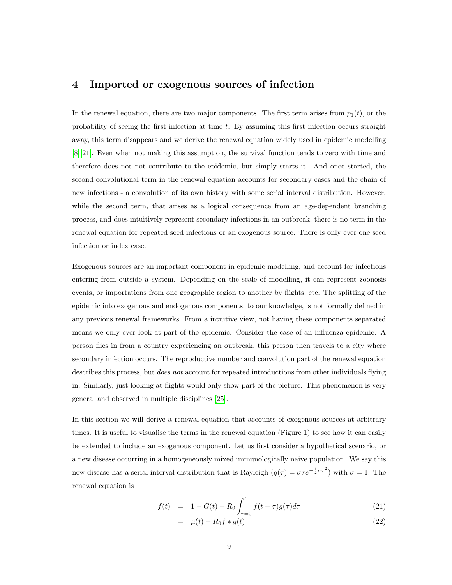#### 4 Imported or exogenous sources of infection

In the renewal equation, there are two major components. The first term arises from  $p_1(t)$ , or the probability of seeing the first infection at time  $t$ . By assuming this first infection occurs straight away, this term disappears and we derive the renewal equation widely used in epidemic modelling [\[8,](#page-16-1) [21\]](#page-17-3). Even when not making this assumption, the survival function tends to zero with time and therefore does not not contribute to the epidemic, but simply starts it. And once started, the second convolutional term in the renewal equation accounts for secondary cases and the chain of new infections - a convolution of its own history with some serial interval distribution. However, while the second term, that arises as a logical consequence from an age-dependent branching process, and does intuitively represent secondary infections in an outbreak, there is no term in the renewal equation for repeated seed infections or an exogenous source. There is only ever one seed infection or index case.

Exogenous sources are an important component in epidemic modelling, and account for infections entering from outside a system. Depending on the scale of modelling, it can represent zoonosis events, or importations from one geographic region to another by flights, etc. The splitting of the epidemic into exogenous and endogenous components, to our knowledge, is not formally defined in any previous renewal frameworks. From a intuitive view, not having these components separated means we only ever look at part of the epidemic. Consider the case of an influenza epidemic. A person flies in from a country experiencing an outbreak, this person then travels to a city where secondary infection occurs. The reproductive number and convolution part of the renewal equation describes this process, but *does not* account for repeated introductions from other individuals flying in. Similarly, just looking at flights would only show part of the picture. This phenomenon is very general and observed in multiple disciplines [\[25\]](#page-18-2).

In this section we will derive a renewal equation that accounts of exogenous sources at arbitrary times. It is useful to visualise the terms in the renewal equation (Figure 1) to see how it can easily be extended to include an exogenous component. Let us first consider a hypothetical scenario, or a new disease occurring in a homogeneously mixed immunologically naive population. We say this new disease has a serial interval distribution that is Rayleigh  $(g(\tau) = \sigma \tau e^{-\frac{1}{2}\sigma \tau^2})$  with  $\sigma = 1$ . The renewal equation is

<span id="page-8-0"></span>
$$
f(t) = 1 - G(t) + R_0 \int_{\tau=0}^{t} f(t-\tau)g(\tau)d\tau
$$
\n(21)

$$
= \mu(t) + R_0 f * g(t) \tag{22}
$$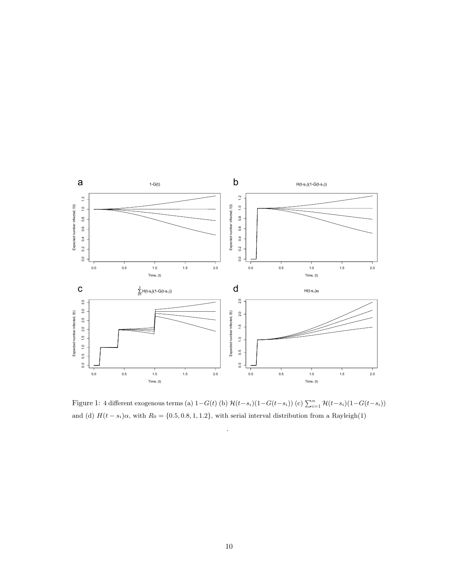

Figure 1: 4 different exogenous terms (a)  $1-G(t)$  (b)  $\mathcal{H}(t-s_i)(1-G(t-s_i))$  (c)  $\sum_{i=1}^{n} \mathcal{H}(t-s_i)(1-G(t-s_i))$ and (d)  $H(t - s_i)\alpha$ , with  $R_0 = \{0.5, 0.8, 1, 1.2\}$ , with serial interval distribution from a Rayleigh(1)

.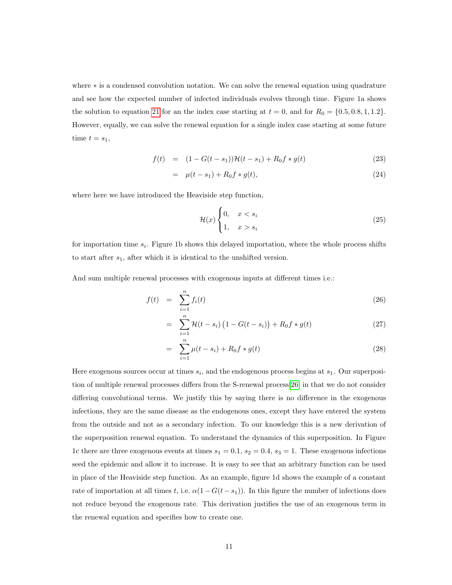where ∗ is a condensed convolution notation. We can solve the renewal equation using quadrature and see how the expected number of infected individuals evolves through time. Figure 1a shows the solution to equation [21](#page-8-0) for an the index case starting at  $t = 0$ , and for  $R_0 = \{0.5, 0.8, 1, 1.2\}$ . However, equally, we can solve the renewal equation for a single index case starting at some future time  $t = s_1$ ,

$$
f(t) = (1 - G(t - s_1))\mathcal{H}(t - s_1) + R_0 f * g(t)
$$
\n(23)

$$
= \mu(t - s_1) + R_0 f * g(t), \tag{24}
$$

where here we have introduced the Heaviside step function,

$$
\mathcal{H}(x) \begin{cases} 0, & x < s_i \\ 1, & x > s_i \end{cases} \tag{25}
$$

for importation time  $s_i$ . Figure 1b shows this delayed importation, where the whole process shifts to start after  $s_1$ , after which it is identical to the unshifted version.

And sum multiple renewal processes with exogenous inputs at different times i.e.:

$$
f(t) = \sum_{i=1}^{n} f_i(t) \tag{26}
$$

$$
= \sum_{i=1}^{n} \mathcal{H}(t - s_i) \left( 1 - G(t - s_i) \right) + R_0 f * g(t) \tag{27}
$$

$$
= \sum_{i=1}^{n} \mu(t - s_i) + R_0 f * g(t) \tag{28}
$$

Here exogenous sources occur at times  $s_i$ , and the endogenous process begins at  $s_1$ . Our superposition of multiple renewal processes differs from the S-renewal process[\[26\]](#page-18-3) in that we do not consider differing convolutional terms. We justify this by saying there is no difference in the exogenous infections, they are the same disease as the endogenous ones, except they have entered the system from the outside and not as a secondary infection. To our knowledge this is a new derivation of the superposition renewal equation. To understand the dynamics of this superposition. In Figure 1c there are three exogenous events at times  $s_1 = 0.1$ ,  $s_2 = 0.4$ ,  $s_3 = 1$ . These exogenous infections seed the epidemic and allow it to increase. It is easy to see that an arbitrary function can be used in place of the Heaviside step function. As an example, figure 1d shows the example of a constant rate of importation at all times t, i.e.  $\alpha(1 - G(t - s_1))$ . In this figure the number of infections does not reduce beyond the exogenous rate. This derivation justifies the use of an exogenous term in the renewal equation and specifies how to create one.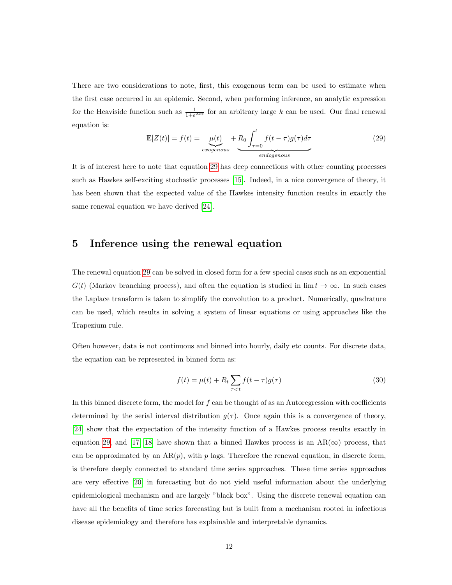There are two considerations to note, first, this exogenous term can be used to estimate when the first case occurred in an epidemic. Second, when performing inference, an analytic expression for the Heaviside function such as  $\frac{1}{1+e^{2kx}}$  for an arbitrary large k can be used. Our final renewal equation is:

<span id="page-11-0"></span>
$$
\mathbb{E}[Z(t)] = f(t) = \underbrace{\mu(t)}_{exogenous} + R_0 \underbrace{\int_{\tau=0}^{t} f(t-\tau)g(\tau)d\tau}_{endogenous}
$$
(29)

It is of interest here to note that equation [29](#page-11-0) has deep connections with other counting processes such as Hawkes self-exciting stochastic processes [\[15\]](#page-17-7). Indeed, in a nice convergence of theory, it has been shown that the expected value of the Hawkes intensity function results in exactly the same renewal equation we have derived [\[24\]](#page-18-4).

#### 5 Inference using the renewal equation

The renewal equation [29](#page-11-0) can be solved in closed form for a few special cases such as an exponential  $G(t)$  (Markov branching process), and often the equation is studied in  $\lim t \to \infty$ . In such cases the Laplace transform is taken to simplify the convolution to a product. Numerically, quadrature can be used, which results in solving a system of linear equations or using approaches like the Trapezium rule.

Often however, data is not continuous and binned into hourly, daily etc counts. For discrete data, the equation can be represented in binned form as:

<span id="page-11-1"></span>
$$
f(t) = \mu(t) + R_t \sum_{\tau < t} f(t - \tau) g(\tau) \tag{30}
$$

In this binned discrete form, the model for  $f$  can be thought of as an Autoregression with coefficients determined by the serial interval distribution  $g(\tau)$ . Once again this is a convergence of theory, [\[24\]](#page-18-4) show that the expectation of the intensity function of a Hawkes process results exactly in equation [29,](#page-11-0) and [\[17,](#page-17-8) [18\]](#page-17-9) have shown that a binned Hawkes process is an  $AR(\infty)$  process, that can be approximated by an  $AR(p)$ , with p lags. Therefore the renewal equation, in discrete form, is therefore deeply connected to standard time series approaches. These time series approaches are very effective [\[20\]](#page-17-10) in forecasting but do not yield useful information about the underlying epidemiological mechanism and are largely "black box". Using the discrete renewal equation can have all the benefits of time series forecasting but is built from a mechanism rooted in infectious disease epidemiology and therefore has explainable and interpretable dynamics.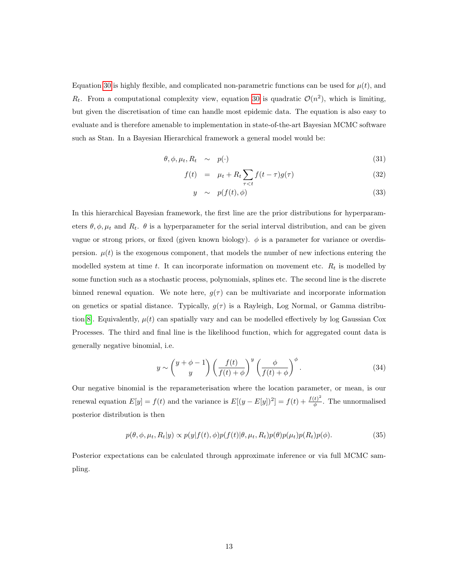Equation [30](#page-11-1) is highly flexible, and complicated non-parametric functions can be used for  $\mu(t)$ , and  $R_t$ . From a computational complexity view, equation [30](#page-11-1) is quadratic  $\mathcal{O}(n^2)$ , which is limiting, but given the discretisation of time can handle most epidemic data. The equation is also easy to evaluate and is therefore amenable to implementation in state-of-the-art Bayesian MCMC software such as Stan. In a Bayesian Hierarchical framework a general model would be:

$$
\theta, \phi, \mu_t, R_t \sim p(\cdot) \tag{31}
$$

$$
f(t) = \mu_t + R_t \sum_{\tau < t} f(t - \tau) g(\tau) \tag{32}
$$

$$
y \sim p(f(t), \phi) \tag{33}
$$

In this hierarchical Bayesian framework, the first line are the prior distributions for hyperparameters  $\theta$ ,  $\phi$ ,  $\mu_t$  and  $R_t$ .  $\theta$  is a hyperparameter for the serial interval distribution, and can be given vague or strong priors, or fixed (given known biology).  $\phi$  is a parameter for variance or overdispersion.  $\mu(t)$  is the exogenous component, that models the number of new infections entering the modelled system at time t. It can incorporate information on movement etc.  $R_t$  is modelled by some function such as a stochastic process, polynomials, splines etc. The second line is the discrete binned renewal equation. We note here,  $g(\tau)$  can be multivariate and incorporate information on genetics or spatial distance. Typically,  $g(\tau)$  is a Rayleigh, Log Normal, or Gamma distribu-tion [\[8\]](#page-16-1). Equivalently,  $\mu(t)$  can spatially vary and can be modelled effectively by log Gaussian Cox Processes. The third and final line is the likelihood function, which for aggregated count data is generally negative binomial, i.e.

$$
y \sim \binom{y+\phi-1}{y} \left(\frac{f(t)}{f(t)+\phi}\right)^y \left(\frac{\phi}{f(t)+\phi}\right)^{\phi}.
$$
 (34)

Our negative binomial is the reparameterisation where the location parameter, or mean, is our renewal equation  $E[y] = f(t)$  and the variance is  $E[(y - E[y])^2] = f(t) + \frac{f(t)^2}{\phi}$  $\frac{t}{\phi}$ . The unnormalised posterior distribution is then

<span id="page-12-0"></span>
$$
p(\theta, \phi, \mu_t, R_t | y) \propto p(y|f(t), \phi)p(f(t)|\theta, \mu_t, R_t)p(\theta)p(\mu_t)p(R_t)p(\phi).
$$
\n(35)

Posterior expectations can be calculated through approximate inference or via full MCMC sampling.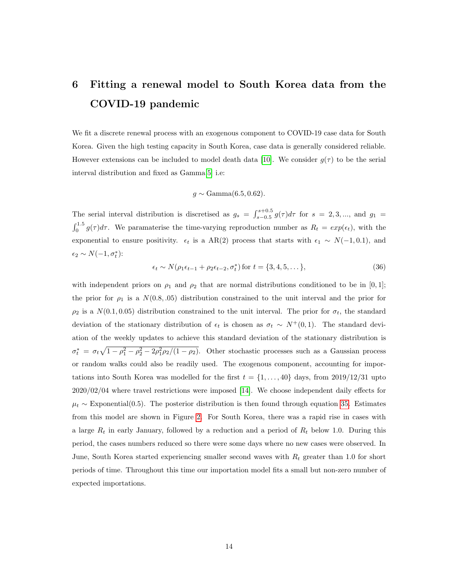## 6 Fitting a renewal model to South Korea data from the COVID-19 pandemic

We fit a discrete renewal process with an exogenous component to COVID-19 case data for South Korea. Given the high testing capacity in South Korea, case data is generally considered reliable. However extensions can be included to model death data [\[10\]](#page-17-11). We consider  $q(\tau)$  to be the serial interval distribution and fixed as Gamma[\[5\]](#page-16-7) i.e:

$$
g \sim \text{Gamma}(6.5, 0.62).
$$

The serial interval distribution is discretised as  $g_s = \int_{s=0.5}^{s=0.5} g(\tau) d\tau$  for  $s = 2, 3, ...$ , and  $g_1 =$  $\int_0^{1.5} g(\tau) d\tau$ . We paramaterise the time-varying reproduction number as  $R_t = exp(\epsilon_t)$ , with the exponential to ensure positivity.  $\epsilon_t$  is a AR(2) process that starts with  $\epsilon_1 \sim N(-1, 0.1)$ , and  $\epsilon_2 \sim N(-1, \sigma_t^*)$ :

$$
\epsilon_t \sim N(\rho_1 \epsilon_{t-1} + \rho_2 \epsilon_{t-2}, \sigma_t^*) \text{ for } t = \{3, 4, 5, \dots\},\tag{36}
$$

with independent priors on  $\rho_1$  and  $\rho_2$  that are normal distributions conditioned to be in [0,1]; the prior for  $\rho_1$  is a  $N(0.8, .05)$  distribution constrained to the unit interval and the prior for  $\rho_2$  is a  $N(0.1, 0.05)$  distribution constrained to the unit interval. The prior for  $\sigma_t$ , the standard deviation of the stationary distribution of  $\epsilon_t$  is chosen as  $\sigma_t \sim N^+(0,1)$ . The standard deviation of the weekly updates to achieve this standard deviation of the stationary distribution is  $\sigma_t^* = \sigma_t \sqrt{1 - \rho_1^2 - \rho_2^2 - 2\rho_1^2 \rho_2/(1 - \rho_2)}$ . Other stochastic processes such as a Gaussian process or random walks could also be readily used. The exogenous component, accounting for importations into South Korea was modelled for the first  $t = \{1, \ldots, 40\}$  days, from 2019/12/31 upto 2020/02/04 where travel restrictions were imposed [\[14\]](#page-17-12). We choose independent daily effects for  $\mu_t \sim$  Exponential(0.5). The posterior distribution is then found through equation [35.](#page-12-0) Estimates from this model are shown in Figure [2.](#page-14-0) For South Korea, there was a rapid rise in cases with a large  $R_t$  in early January, followed by a reduction and a period of  $R_t$  below 1.0. During this period, the cases numbers reduced so there were some days where no new cases were observed. In June, South Korea started experiencing smaller second waves with  $R_t$  greater than 1.0 for short periods of time. Throughout this time our importation model fits a small but non-zero number of expected importations.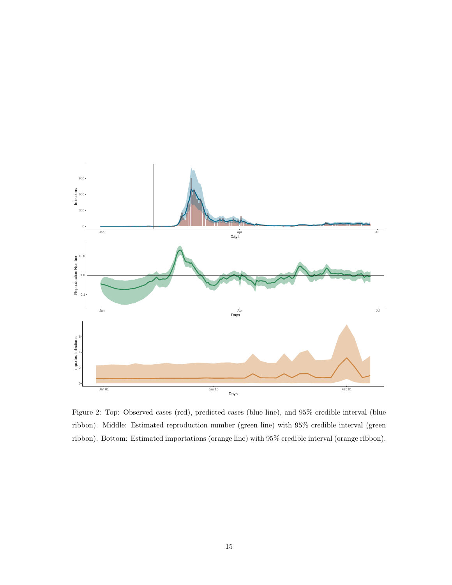<span id="page-14-0"></span>

Figure 2: Top: Observed cases (red), predicted cases (blue line), and 95% credible interval (blue ribbon). Middle: Estimated reproduction number (green line) with 95% credible interval (green ribbon). Bottom: Estimated importations (orange line) with 95% credible interval (orange ribbon).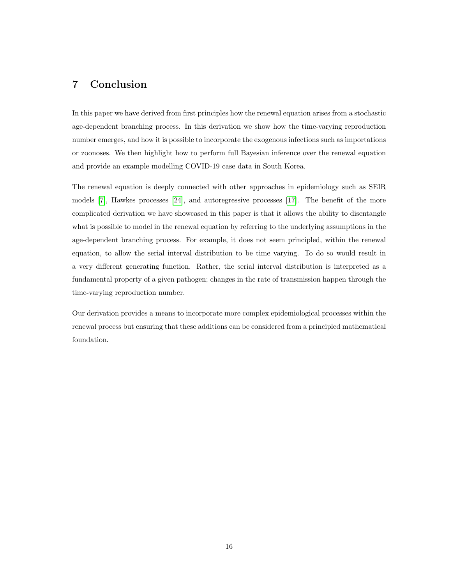#### 7 Conclusion

In this paper we have derived from first principles how the renewal equation arises from a stochastic age-dependent branching process. In this derivation we show how the time-varying reproduction number emerges, and how it is possible to incorporate the exogenous infections such as importations or zoonoses. We then highlight how to perform full Bayesian inference over the renewal equation and provide an example modelling COVID-19 case data in South Korea.

The renewal equation is deeply connected with other approaches in epidemiology such as SEIR models [\[7\]](#page-16-3), Hawkes processes [\[24\]](#page-18-4), and autoregressive processes [\[17\]](#page-17-8). The benefit of the more complicated derivation we have showcased in this paper is that it allows the ability to disentangle what is possible to model in the renewal equation by referring to the underlying assumptions in the age-dependent branching process. For example, it does not seem principled, within the renewal equation, to allow the serial interval distribution to be time varying. To do so would result in a very different generating function. Rather, the serial interval distribution is interpreted as a fundamental property of a given pathogen; changes in the rate of transmission happen through the time-varying reproduction number.

Our derivation provides a means to incorporate more complex epidemiological processes within the renewal process but ensuring that these additions can be considered from a principled mathematical foundation.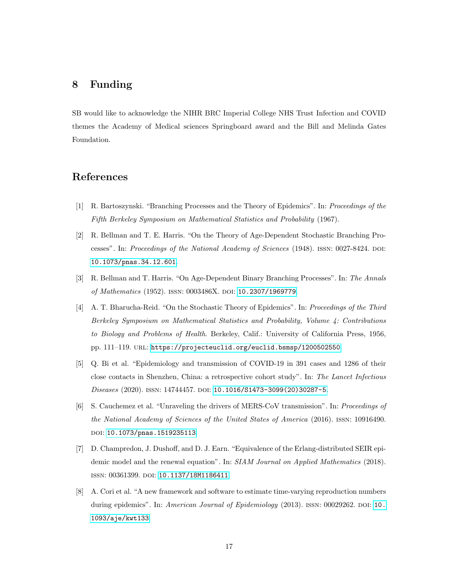### 8 Funding

SB would like to acknowledge the NIHR BRC Imperial College NHS Trust Infection and COVID themes the Academy of Medical sciences Springboard award and the Bill and Melinda Gates Foundation.

### References

- <span id="page-16-4"></span>[1] R. Bartoszynski. "Branching Processes and the Theory of Epidemics". In: Proceedings of the Fifth Berkeley Symposium on Mathematical Statistics and Probability (1967).
- <span id="page-16-0"></span>[2] R. Bellman and T. E. Harris. "On the Theory of Age-Dependent Stochastic Branching Processes". In: Proceedings of the National Academy of Sciences (1948). ISSN: 0027-8424. DOI: [10.1073/pnas.34.12.601](http://dx.doi.org/10.1073/pnas.34.12.601).
- <span id="page-16-5"></span>[3] R. Bellman and T. Harris. "On Age-Dependent Binary Branching Processes". In: The Annals of Mathematics (1952). issn: 0003486X. doi: [10.2307/1969779](http://dx.doi.org/10.2307/1969779).
- <span id="page-16-6"></span>[4] A. T. Bharucha-Reid. "On the Stochastic Theory of Epidemics". In: Proceedings of the Third Berkeley Symposium on Mathematical Statistics and Probability, Volume 4: Contributions to Biology and Problems of Health. Berkeley, Calif.: University of California Press, 1956, pp. 111-119. URL: <https://projecteuclid.org/euclid.bsmsp/1200502550>.
- <span id="page-16-7"></span>[5] Q. Bi et al. "Epidemiology and transmission of COVID-19 in 391 cases and 1286 of their close contacts in Shenzhen, China: a retrospective cohort study". In: The Lancet Infectious Diseases (2020). ISSN: 14744457. DOI: [10.1016/S1473-3099\(20\)30287-5](http://dx.doi.org/10.1016/S1473-3099(20)30287-5).
- <span id="page-16-2"></span>[6] S. Cauchemez et al. "Unraveling the drivers of MERS-CoV transmission". In: Proceedings of the National Academy of Sciences of the United States of America (2016). issn: 10916490. DOI: [10.1073/pnas.1519235113](http://dx.doi.org/10.1073/pnas.1519235113).
- <span id="page-16-3"></span>[7] D. Champredon, J. Dushoff, and D. J. Earn. "Equivalence of the Erlang-distributed SEIR epidemic model and the renewal equation". In: SIAM Journal on Applied Mathematics (2018). issn: 00361399. doi: [10.1137/18M1186411](http://dx.doi.org/10.1137/18M1186411).
- <span id="page-16-1"></span>[8] A. Cori et al. "A new framework and software to estimate time-varying reproduction numbers during epidemics". In: American Journal of Epidemiology (2013). ISSN: 00029262. DOI: [10.](http://dx.doi.org/10.1093/aje/kwt133) [1093/aje/kwt133](http://dx.doi.org/10.1093/aje/kwt133).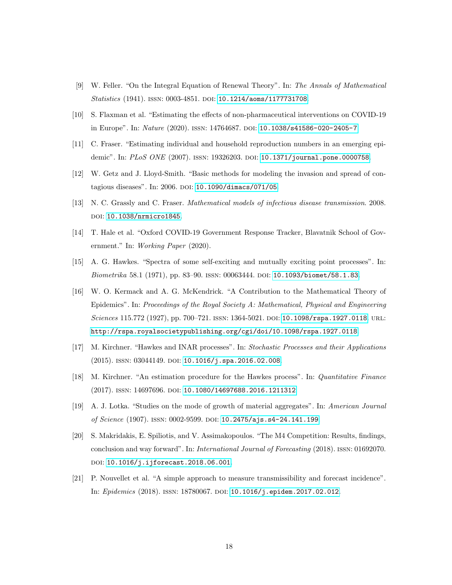- <span id="page-17-0"></span>[9] W. Feller. "On the Integral Equation of Renewal Theory". In: The Annals of Mathematical Statistics (1941). ISSN: 0003-4851. DOI: [10.1214/aoms/1177731708](http://dx.doi.org/10.1214/aoms/1177731708).
- <span id="page-17-11"></span>[10] S. Flaxman et al. "Estimating the effects of non-pharmaceutical interventions on COVID-19 in Europe". In: Nature (2020). ISSN: 14764687. DOI: [10.1038/s41586-020-2405-7](http://dx.doi.org/10.1038/s41586-020-2405-7).
- <span id="page-17-2"></span>[11] C. Fraser. "Estimating individual and household reproduction numbers in an emerging epi-demic". In: PLoS ONE (2007). ISSN: 19326203. DOI: [10.1371/journal.pone.0000758](http://dx.doi.org/10.1371/journal.pone.0000758).
- <span id="page-17-5"></span>[12] W. Getz and J. Lloyd-Smith. "Basic methods for modeling the invasion and spread of con-tagious diseases". In: 2006. DOI: [10.1090/dimacs/071/05](http://dx.doi.org/10.1090/dimacs/071/05).
- <span id="page-17-6"></span>[13] N. C. Grassly and C. Fraser. Mathematical models of infectious disease transmission. 2008. DOI: [10.1038/nrmicro1845](http://dx.doi.org/10.1038/nrmicro1845).
- <span id="page-17-12"></span>[14] T. Hale et al. "Oxford COVID-19 Government Response Tracker, Blavatnik School of Government." In: Working Paper (2020).
- <span id="page-17-7"></span>[15] A. G. Hawkes. "Spectra of some self-exciting and mutually exciting point processes". In: Biometrika 58.1 (1971), pp. 83-90. ISSN: 00063444. DOI: [10.1093/biomet/58.1.83](http://dx.doi.org/10.1093/biomet/58.1.83).
- <span id="page-17-1"></span>[16] W. O. Kermack and A. G. McKendrick. "A Contribution to the Mathematical Theory of Epidemics". In: Proceedings of the Royal Society A: Mathematical, Physical and Engineering Sciences 115.772 (1927), pp. 700–721. ISSN: 1364-5021. DOI: [10.1098/rspa.1927.0118](http://dx.doi.org/10.1098/rspa.1927.0118). URL: <http://rspa.royalsocietypublishing.org/cgi/doi/10.1098/rspa.1927.0118>.
- <span id="page-17-8"></span>[17] M. Kirchner. "Hawkes and INAR processes". In: Stochastic Processes and their Applications (2015). ISSN: 03044149. DOI: [10.1016/j.spa.2016.02.008](http://dx.doi.org/10.1016/j.spa.2016.02.008).
- <span id="page-17-9"></span>[18] M. Kirchner. "An estimation procedure for the Hawkes process". In: Quantitative Finance (2017). issn: 14697696. doi: [10.1080/14697688.2016.1211312](http://dx.doi.org/10.1080/14697688.2016.1211312).
- <span id="page-17-4"></span>[19] A. J. Lotka. "Studies on the mode of growth of material aggregates". In: American Journal of Science (1907). issn: 0002-9599. doi: [10.2475/ajs.s4-24.141.199](http://dx.doi.org/10.2475/ajs.s4-24.141.199).
- <span id="page-17-10"></span>[20] S. Makridakis, E. Spiliotis, and V. Assimakopoulos. "The M4 Competition: Results, findings, conclusion and way forward". In: International Journal of Forecasting (2018). issn: 01692070. DOI: [10.1016/j.ijforecast.2018.06.001](http://dx.doi.org/10.1016/j.ijforecast.2018.06.001).
- <span id="page-17-3"></span>[21] P. Nouvellet et al. "A simple approach to measure transmissibility and forecast incidence". In: Epidemics (2018). ISSN: 18780067. DOI: [10.1016/j.epidem.2017.02.012](http://dx.doi.org/10.1016/j.epidem.2017.02.012).